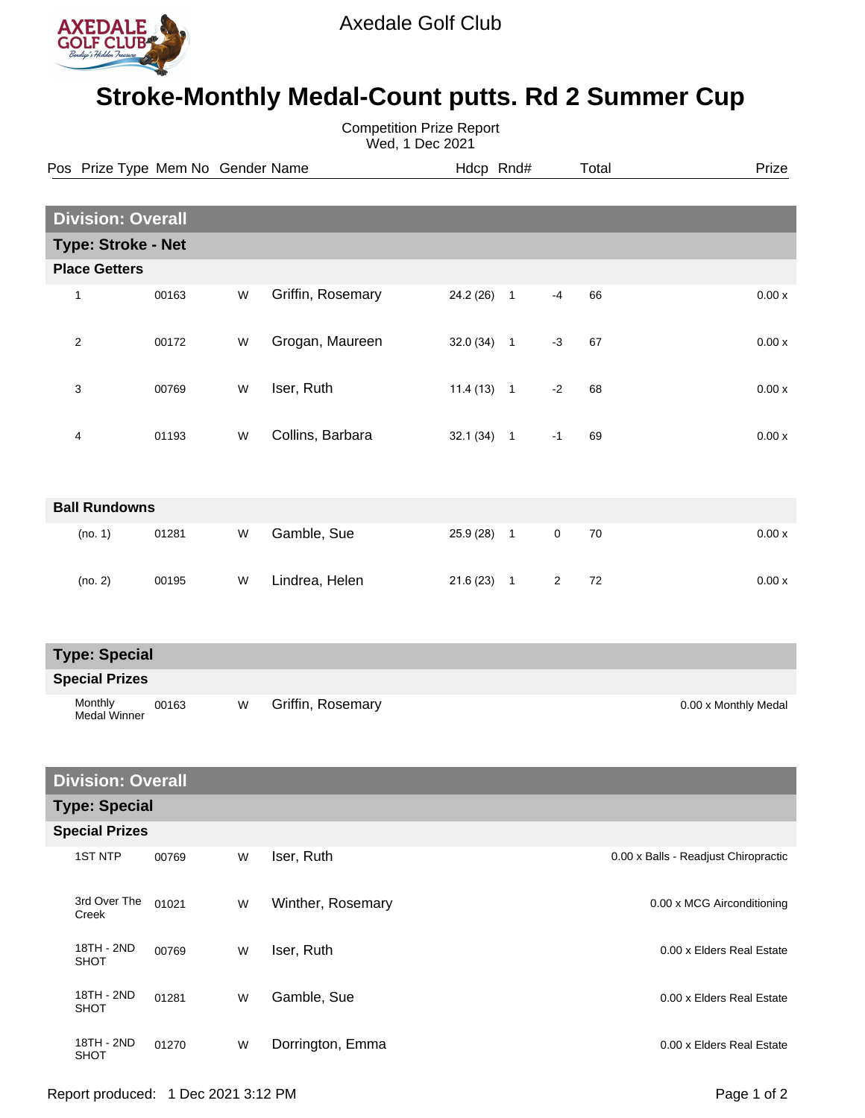

## **Stroke-Monthly Medal-Count putts. Rd 2 Summer Cup**

| <b>Competition Prize Report</b><br>Wed, 1 Dec 2021 |                                   |       |   |                   |              |  |                |       |                                      |  |  |  |
|----------------------------------------------------|-----------------------------------|-------|---|-------------------|--------------|--|----------------|-------|--------------------------------------|--|--|--|
|                                                    | Pos Prize Type Mem No Gender Name |       |   |                   | Hdcp Rnd#    |  |                | Total | Prize                                |  |  |  |
|                                                    |                                   |       |   |                   |              |  |                |       |                                      |  |  |  |
|                                                    | <b>Division: Overall</b>          |       |   |                   |              |  |                |       |                                      |  |  |  |
|                                                    | <b>Type: Stroke - Net</b>         |       |   |                   |              |  |                |       |                                      |  |  |  |
|                                                    | <b>Place Getters</b>              |       |   |                   |              |  |                |       |                                      |  |  |  |
|                                                    | 1                                 | 00163 | W | Griffin, Rosemary | $24.2(26)$ 1 |  | -4             | 66    | 0.00x                                |  |  |  |
|                                                    | $\overline{2}$                    | 00172 | W | Grogan, Maureen   | $32.0(34)$ 1 |  | $-3$           | 67    | 0.00x                                |  |  |  |
|                                                    | 3                                 | 00769 | W | Iser, Ruth        | $11.4(13)$ 1 |  | $-2$           | 68    | 0.00x                                |  |  |  |
|                                                    | 4                                 | 01193 | W | Collins, Barbara  | $32.1(34)$ 1 |  | $-1$           | 69    | 0.00x                                |  |  |  |
|                                                    | <b>Ball Rundowns</b>              |       |   |                   |              |  |                |       |                                      |  |  |  |
|                                                    | (no. 1)                           | 01281 | W | Gamble, Sue       | $25.9(28)$ 1 |  | $\mathbf 0$    | 70    | 0.00x                                |  |  |  |
|                                                    | (no. 2)                           | 00195 | W | Lindrea, Helen    | $21.6(23)$ 1 |  | $\overline{2}$ | 72    | 0.00x                                |  |  |  |
|                                                    | <b>Type: Special</b>              |       |   |                   |              |  |                |       |                                      |  |  |  |
|                                                    | <b>Special Prizes</b>             |       |   |                   |              |  |                |       |                                      |  |  |  |
|                                                    | Monthly<br><b>Medal Winner</b>    | 00163 | W | Griffin, Rosemary |              |  |                |       | 0.00 x Monthly Medal                 |  |  |  |
|                                                    | <b>Division: Overall</b>          |       |   |                   |              |  |                |       |                                      |  |  |  |
|                                                    | <b>Type: Special</b>              |       |   |                   |              |  |                |       |                                      |  |  |  |
|                                                    | <b>Special Prizes</b>             |       |   |                   |              |  |                |       |                                      |  |  |  |
|                                                    | <b>1ST NTP</b>                    | 00769 | W | Iser, Ruth        |              |  |                |       | 0.00 x Balls - Readjust Chiropractic |  |  |  |
|                                                    | 3rd Over The<br>Creek             | 01021 | W | Winther, Rosemary |              |  |                |       | 0.00 x MCG Airconditioning           |  |  |  |
|                                                    | 18TH - 2ND<br><b>SHOT</b>         | 00769 | W | Iser, Ruth        |              |  |                |       | 0.00 x Elders Real Estate            |  |  |  |
|                                                    | 18TH - 2ND<br><b>SHOT</b>         | 01281 | W | Gamble, Sue       |              |  |                |       | 0.00 x Elders Real Estate            |  |  |  |
|                                                    | 18TH - 2ND<br>0.107               | 01270 | W | Dorrington, Emma  |              |  |                |       | 0.00 x Elders Real Estate            |  |  |  |

SHOT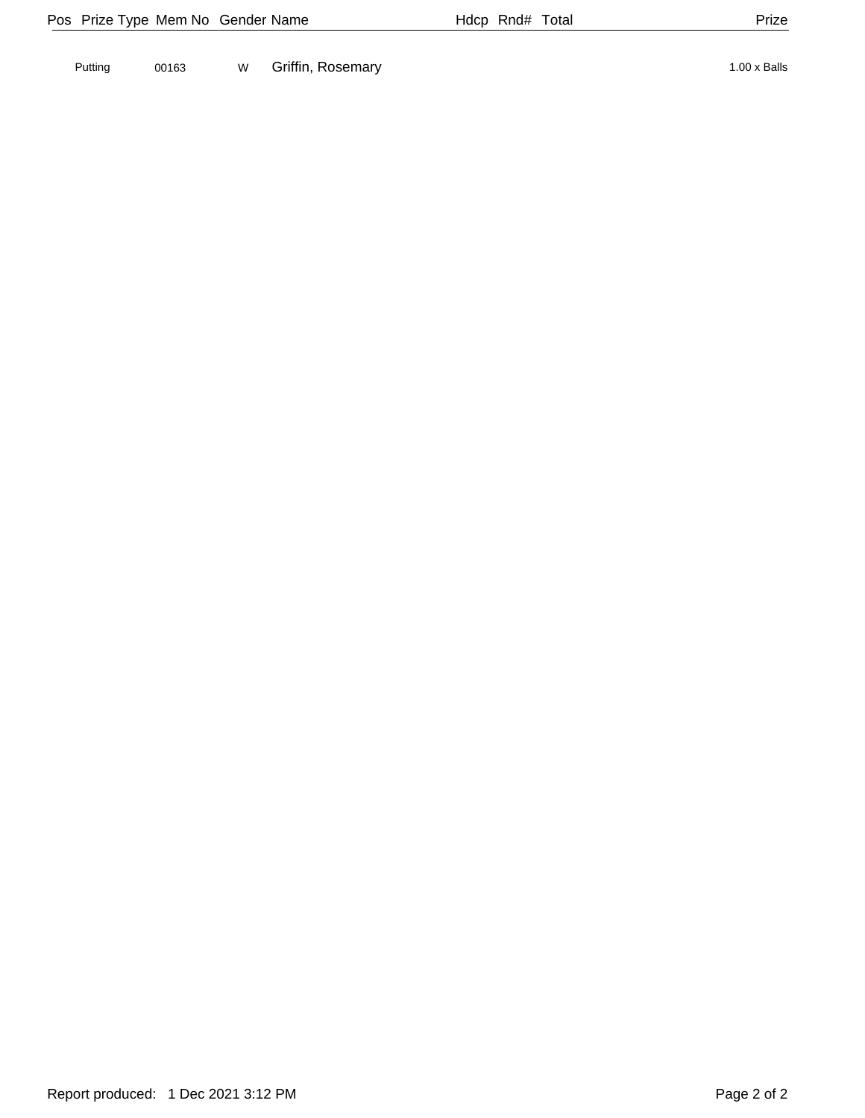Putting 00163 W Griffin, Rosemary 1.00 x Balls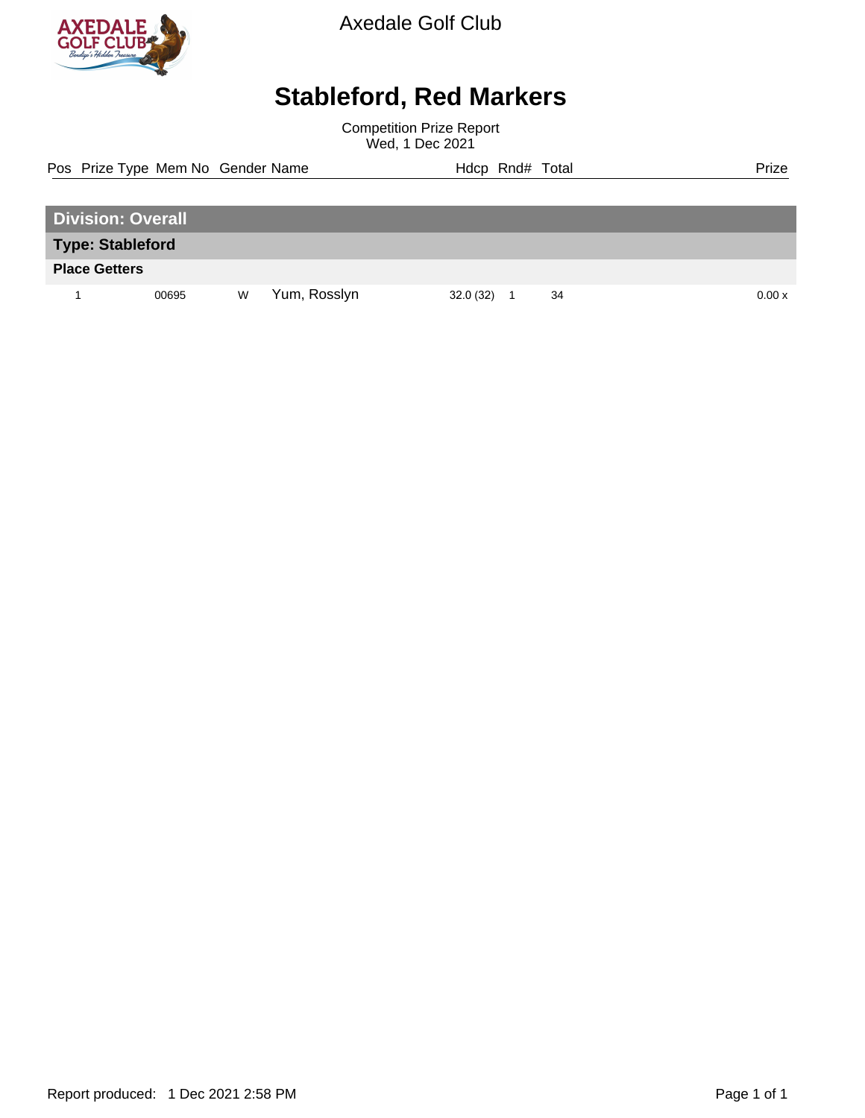

Axedale Golf Club

## **Stableford, Red Markers**

Competition Prize Report Wed, 1 Dec 2021

Pos Prize Type Mem No Gender Name **Hdcp Rnd# Total** Prize Prize

| <b>Division: Overall</b> |       |   |              |          |  |    |       |  |  |
|--------------------------|-------|---|--------------|----------|--|----|-------|--|--|
| <b>Type: Stableford</b>  |       |   |              |          |  |    |       |  |  |
| <b>Place Getters</b>     |       |   |              |          |  |    |       |  |  |
|                          | 00695 | W | Yum, Rosslyn | 32.0(32) |  | 34 | 0.00x |  |  |